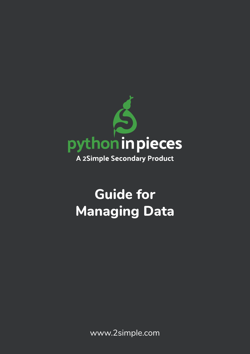

# **Guide for Managing Data**

www.2simple.com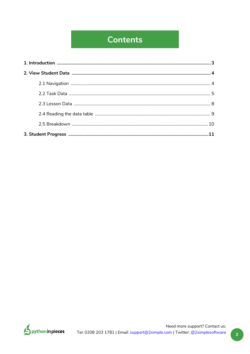## **Contents**

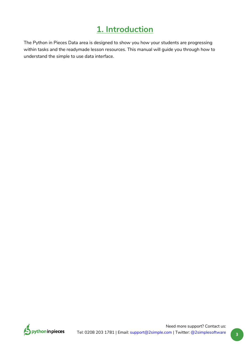### **1. Introduction**

<span id="page-2-0"></span>The Python in Pieces Data area is designed to show you how your students are progressing within tasks and the readymade lesson resources. This manual will guide you through how to understand the simple to use data interface.

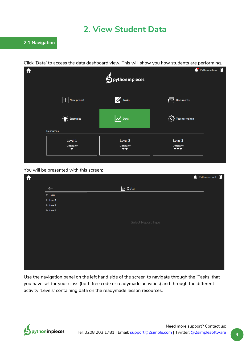### **2. View Student Data**

<span id="page-3-0"></span>Click 'Data' to access the data dashboard view. This will show you how students are performing.



You will be presented with this screen:

| $\hat{\mathbf{r}}$ |                               | $\bullet$ Python school |  |
|--------------------|-------------------------------|-------------------------|--|
|                    | $\leftarrow$                  | $\nu$ Data              |  |
|                    | $\blacktriangleright$ Tasks   |                         |  |
|                    | $\blacktriangleright$ Level 1 |                         |  |
|                    | $\blacktriangleright$ Level 2 |                         |  |
|                    | $\blacktriangleright$ Level 3 |                         |  |
|                    |                               |                         |  |
|                    |                               | Select Report Type      |  |
|                    |                               |                         |  |
|                    |                               |                         |  |
|                    |                               |                         |  |
|                    |                               |                         |  |
|                    |                               |                         |  |
|                    |                               |                         |  |
|                    |                               |                         |  |
|                    |                               |                         |  |

Use the navigation panel on the left hand side of the screen to navigate through the 'Tasks' that you have set for your class (both free code or readymade activities) and through the different activity 'Levels' containing data on the readymade lesson resources.

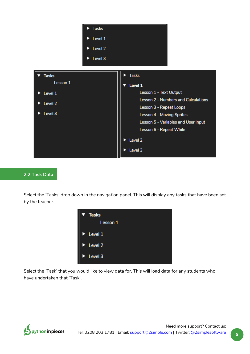<span id="page-4-0"></span>

#### **2.2 Task Data**

Select the 'Tasks' drop down in the navigation panel. This will display any tasks that have been set by the teacher.



Select the 'Task' that you would like to view data for. This will load data for any students who have undertaken that 'Task'.

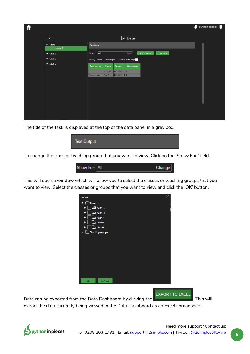| ft                            |                                                        | $\bullet$ Python school |
|-------------------------------|--------------------------------------------------------|-------------------------|
| $\leftarrow$                  | <b>∠</b> Data                                          |                         |
| ▼ Tasks<br>Lesson 1           | <b>Text Output</b>                                     |                         |
| $\blacktriangleright$ Level 1 | Show For: All<br>EXPORT TO EXCEL SHOW WORK<br>Change   |                         |
| $\blacktriangleright$ Level 2 | School hours only:<br>Activity: Lesson 1 - Text Output |                         |
| $\blacktriangleright$ Level 3 | Pupil Name .<br>Score :<br>Class .<br>Hints taken .    |                         |
|                               | 4/9 (44%)<br>Averages                                  |                         |
|                               | 4/9 (44%) + 1<br>Andrew Foran<br>Year 7                |                         |
|                               |                                                        |                         |
|                               |                                                        |                         |
|                               |                                                        |                         |
|                               |                                                        |                         |
|                               |                                                        |                         |
|                               |                                                        |                         |
|                               |                                                        |                         |

The title of the task is displayed at the top of the data panel in a grey box.



To change the class or teaching group that you want to view. Click on the 'Show For:' field.



This will open a window which will allow you to select the classes or teaching groups that you want to view. Select the classes or groups that you want to view and click the 'OK' button.



**EXPORT TO EXCEL** 

Data can be exported from the Data Dashboard by clicking the **Express Late 20**. This will

export the data currently being viewed in the Data Dashboard as an Excel spreadsheet.

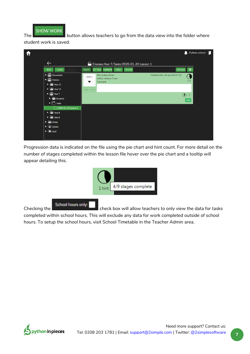

The **button allows teachers to go from the data view into the folder where** 

student work is saved.



Progression data is indicated on the file using the pie chart and hint count. For more detail on the number of stages completed within the lesson file hover over the pie chart and a tooltip will appear detailing this.



**Checking the** check box will allow teachers to only view the data for tasks

completed within school hours. This will exclude any data for work completed outside of school hours. To setup the school hours, visit School Timetable in the Teacher Admin area.

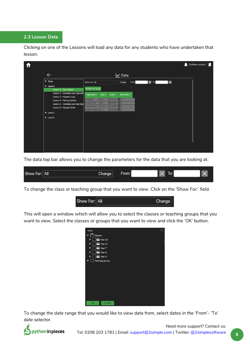#### <span id="page-7-0"></span>**2.3 Lesson Data**

Clicking on one of the Lessons will load any data for any students who have undertaken that lesson.

|                                                                        |                                          |                  |                                              |                              |                      |                         | $\bullet$ Python school $\Box$ |
|------------------------------------------------------------------------|------------------------------------------|------------------|----------------------------------------------|------------------------------|----------------------|-------------------------|--------------------------------|
| $\leftarrow$                                                           |                                          |                  |                                              | $\overline{\mathsf{M}}$ Data |                      |                         |                                |
| $\blacktriangleright$ Tasks                                            | Show For: All                            |                  |                                              | From:<br>Change              | $\boxed{\times}$ To: | $\overline{\mathsf{x}}$ |                                |
| $\nabla$ Level 1<br>Lesson 1 - Text Output                             | <b>EXPORT TO EXCEL</b>                   |                  |                                              |                              |                      |                         |                                |
| <b>Lesson 2 - Numbers and Calculatio</b><br>Lesson 3 - Repeat Loops    | Pupil Name +                             | Class ÷          | Score :                                      | Hints taken =                |                      |                         |                                |
| <b>Lesson 4 - Moving Sprites</b><br>Lesson 5 - Variables and User Inpu | lan Findlay<br>Andrew Foran              | Year 7<br>Year 7 | $1/9(11\%)$ $\Box$ 0<br>$4/9$ (44%) $\Box$ 1 |                              |                      |                         |                                |
| Lesson 6 - Repeat While                                                | Karen Johnston<br>Elizabeth Magee Year 7 | Year 10          | 3/9 (33%) + 0<br>$9/9(100\%)$ $\Box$ 2       |                              |                      |                         |                                |
| $\triangleright$ Level 2                                               |                                          |                  |                                              |                              |                      |                         |                                |
| $\triangleright$ Level 3                                               |                                          |                  |                                              |                              |                      |                         |                                |
|                                                                        |                                          |                  |                                              |                              |                      |                         |                                |
|                                                                        |                                          |                  |                                              |                              |                      |                         |                                |
|                                                                        |                                          |                  |                                              |                              |                      |                         |                                |
|                                                                        |                                          |                  |                                              |                              |                      |                         |                                |
|                                                                        |                                          |                  |                                              |                              |                      |                         |                                |

The data top bar allows you to change the parameters for the data that you are looking at.

| Show For: All | $\sim$<br>Change | -<br>rom: | ıv. |  |
|---------------|------------------|-----------|-----|--|
|               |                  |           |     |  |

To change the class or teaching group that you want to view. Click on the 'Show For:' field.



This will open a window which will allow you to select the classes or teaching groups that you want to view. Select the classes or groups that you want to view and click the 'OK' button.



To change the date range that you would like to view data from, select dates in the 'From'- 'To' date selector.

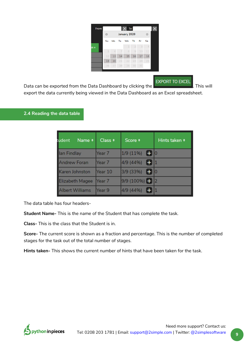| From: | To:<br>LX. |                 |              |              |                |                 |    |  |
|-------|------------|-----------------|--------------|--------------|----------------|-----------------|----|--|
|       | o          |                 | January 2020 | O            |                |                 |    |  |
|       | Su         | Mo              | Tu           | We           | Th             | Fr              | Sa |  |
| en ≑  |            |                 |              | $\mathbf{1}$ | $\overline{2}$ | 3               | 4  |  |
|       | 5          | 6               | 7            | 8            | 9              | 10              | 11 |  |
|       | 12         | 13 <sup>°</sup> | 14           | 15           | 16             | 17 <sup>2</sup> | 18 |  |
|       | 19         | 20              | 21           | 22           | 23             | 24              | 25 |  |
|       | 26         | 27              | 28           | 29           | 30             | 31              |    |  |
|       |            |                 |              |              |                |                 |    |  |

**EXPORT TO EXCEL** 

<span id="page-8-0"></span>Data can be exported from the Data Dashboard by clicking the **Express Late 20**. This will export the data currently being viewed in the Data Dashboard as an Excel spreadsheet.

#### **2.4 Reading the data table**

| Name $\approx$<br>tudent | Class +           | Score $\div$        | Hints taken ÷ |
|--------------------------|-------------------|---------------------|---------------|
| lan Findlay              | Year 7            | $1/9(11\%)$ + 0     |               |
| <b>Andrew Foran</b>      | Year 7            | 4/9 (44%)<br>l + 11 |               |
| Karen Johnston           | Year 10           | $\Box$<br>3/9 (33%) |               |
| Elizabeth Magee          | Near <sub>7</sub> | $9/9(100\%)$ + 2    |               |
| <b>Albert Williams</b>   | lYear 9           | 4/9 (44%)           |               |

The data table has four headers-

**Student Name-** This is the name of the Student that has complete the task.

**Class-** This is the class that the Student is in.

**Score-** The current score is shown as a fraction and percentage. This is the number of completed stages for the task out of the total number of stages.

**Hints taken-** This shows the current number of hints that have been taken for the task.

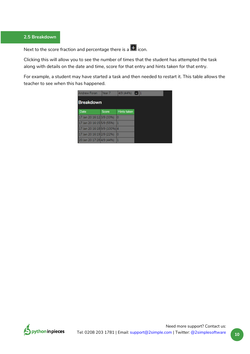#### <span id="page-9-0"></span>**2.5 Breakdown**

Next to the score fraction and percentage there is a  $\overline{+}$  icon.

Clicking this will allow you to see the number of times that the student has attempted the task along with details on the date and time, score for that entry and hints taken for that entry.

For example, a student may have started a task and then needed to restart it. This table allows the teacher to see when this has happened.

| <b>Andrew Foran</b>          | Year 7       | 4/9 (44%)   |  |
|------------------------------|--------------|-------------|--|
| <b>Breakdown</b>             |              |             |  |
| Date                         | <b>Score</b> | Hints taken |  |
| 17 Jan 20 16:12 3/9 (33%)    |              | lo          |  |
| 17 Jan 20 16:15 5/9 (55%)    |              | 1           |  |
| 17 Jan 20 16:18 9/9 (100%) 4 |              |             |  |
| 17 Jan 20 16:19 2/9 (22%)    |              | 10          |  |
| 20 Jan 20 17:28 4/9 (44%)    |              | 1           |  |

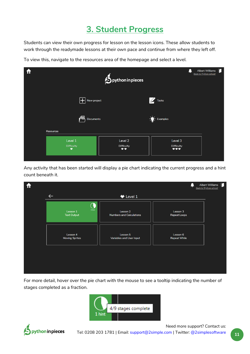## **3. Student Progress**

<span id="page-10-0"></span>Students can view their own progress for lesson on the lesson icons. These allow students to work through the readymade lessons at their own pace and continue from where they left off.

To view this, navigate to the resources area of the homepage and select a level.



Any activity that has been started will display a pie chart indicating the current progress and a hint count beneath it.



For more detail, hover over the pie chart with the mouse to see a tooltip indicating the number of stages completed as a fraction.